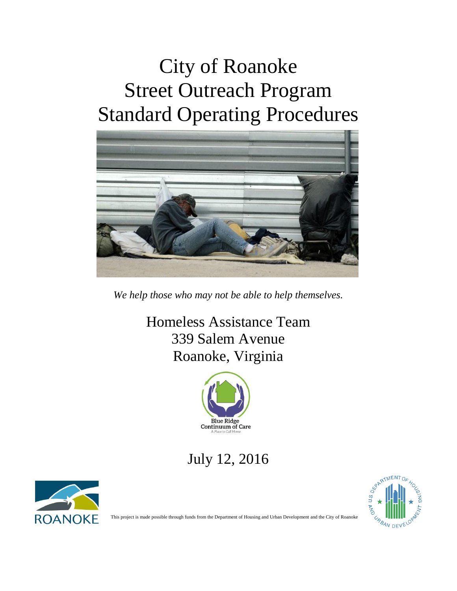# City of Roanoke Street Outreach Program Standard Operating Procedures



*We help those who may not be able to help themselves.*

Homeless Assistance Team 339 Salem Avenue Roanoke, Virginia



July 12, 2016





ROANOKE This project is made possible through funds from the Department of Housing and Urban Development and the City of Roanoke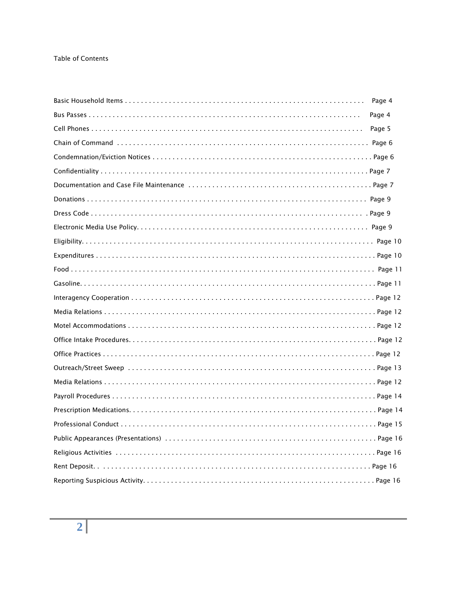#### **Table of Contents**

| Page 4 |  |
|--------|--|
| Page 4 |  |
| Page 5 |  |
|        |  |
|        |  |
|        |  |
|        |  |
|        |  |
|        |  |
|        |  |
|        |  |
|        |  |
|        |  |
|        |  |
|        |  |
|        |  |
|        |  |
|        |  |
|        |  |
|        |  |
|        |  |
|        |  |
|        |  |
|        |  |
|        |  |
|        |  |
|        |  |
|        |  |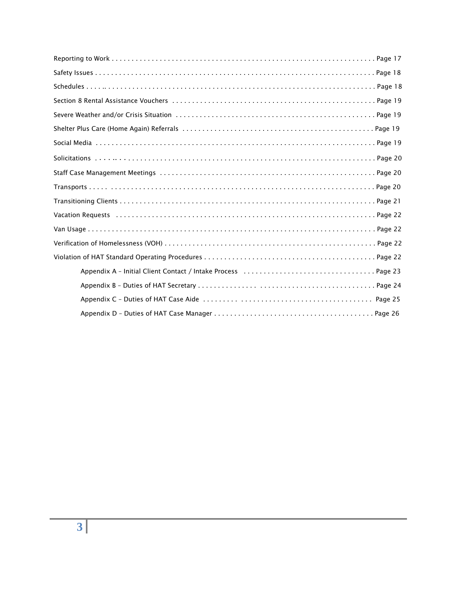| Page 25 |
|---------|
|         |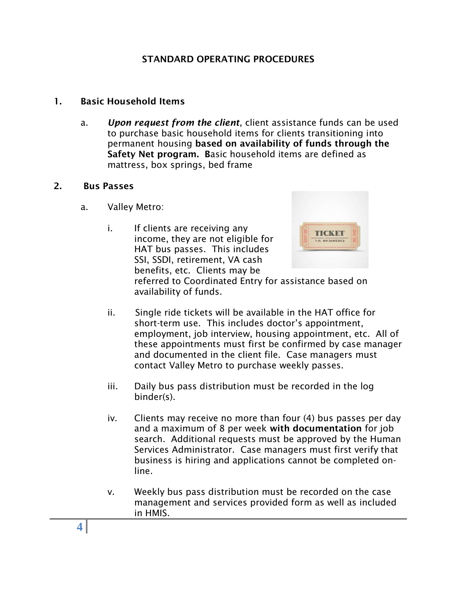#### **STANDARD OPERATING PROCEDURES**

#### **1. Basic Household Items**

a. *Upon request from the client*, client assistance funds can be used to purchase basic household items for clients transitioning into permanent housing **based on availability of funds through the Safety Net program. B**asic household items are defined as mattress, box springs, bed frame

#### **2. Bus Passes**

- a. Valley Metro:
	- i. If clients are receiving any income, they are not eligible for HAT bus passes. This includes SSI, SSDI, retirement, VA cash benefits, etc. Clients may be



referred to Coordinated Entry for assistance based on availability of funds.

- ii. Single ride tickets will be available in the HAT office for short-term use. This includes doctor's appointment, employment, job interview, housing appointment, etc. All of these appointments must first be confirmed by case manager and documented in the client file. Case managers must contact Valley Metro to purchase weekly passes.
- iii. Daily bus pass distribution must be recorded in the log binder(s).
- iv. Clients may receive no more than four (4) bus passes per day and a maximum of 8 per week **with documentation** for job search. Additional requests must be approved by the Human Services Administrator. Case managers must first verify that business is hiring and applications cannot be completed online.
- v. Weekly bus pass distribution must be recorded on the case management and services provided form as well as included in HMIS.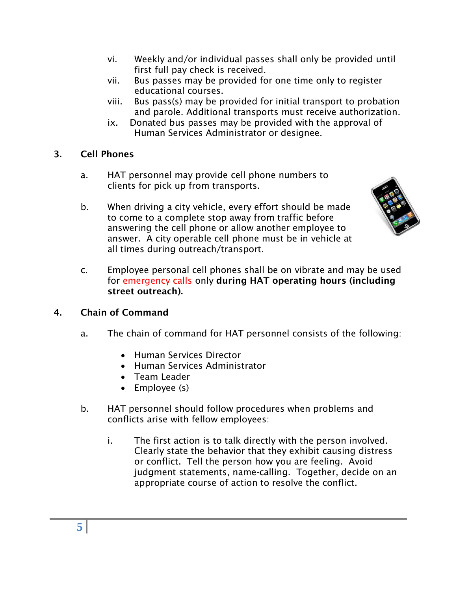- vi. Weekly and/or individual passes shall only be provided until first full pay check is received.
- vii. Bus passes may be provided for one time only to register educational courses.
- viii. Bus pass(s) may be provided for initial transport to probation and parole. Additional transports must receive authorization.
- ix. Donated bus passes may be provided with the approval of Human Services Administrator or designee.

# **3. Cell Phones**

- a. HAT personnel may provide cell phone numbers to clients for pick up from transports.
- b. When driving a city vehicle, every effort should be made to come to a complete stop away from traffic before answering the cell phone or allow another employee to answer. A city operable cell phone must be in vehicle at all times during outreach/transport.



c. Employee personal cell phones shall be on vibrate and may be used for emergency calls only **during HAT operating hours (including street outreach).**

# **4. Chain of Command**

- a. The chain of command for HAT personnel consists of the following:
	- Human Services Director
	- Human Services Administrator
	- Team Leader
	- Employee (s)
- b. HAT personnel should follow procedures when problems and conflicts arise with fellow employees:
	- i. The first action is to talk directly with the person involved. Clearly state the behavior that they exhibit causing distress or conflict. Tell the person how you are feeling. Avoid judgment statements, name-calling. Together, decide on an appropriate course of action to resolve the conflict.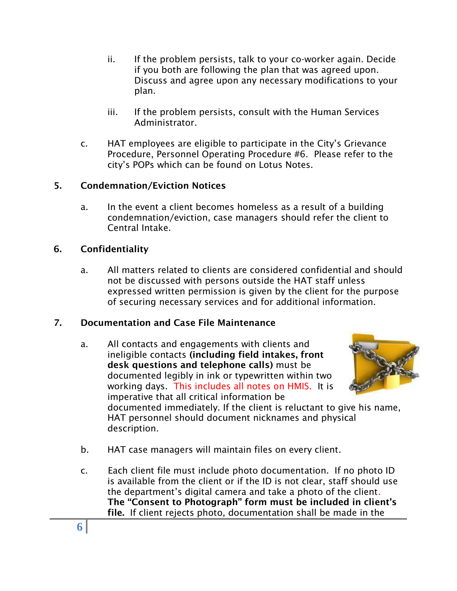- ii. If the problem persists, talk to your co-worker again. Decide if you both are following the plan that was agreed upon. Discuss and agree upon any necessary modifications to your plan.
- iii. If the problem persists, consult with the Human Services Administrator.
- c. HAT employees are eligible to participate in the City's Grievance Procedure, Personnel Operating Procedure #6. Please refer to the city's POPs which can be found on Lotus Notes.

# **5. Condemnation/Eviction Notices**

a. In the event a client becomes homeless as a result of a building condemnation/eviction, case managers should refer the client to Central Intake.

# **6. Confidentiality**

a. All matters related to clients are considered confidential and should not be discussed with persons outside the HAT staff unless expressed written permission is given by the client for the purpose of securing necessary services and for additional information.

# **7. Documentation and Case File Maintenance**

a. All contacts and engagements with clients and ineligible contacts **(including field intakes, front desk questions and telephone calls)** must be documented legibly in ink or typewritten within two working days. This includes all notes on HMIS. It is imperative that all critical information be



documented immediately. If the client is reluctant to give his name, HAT personnel should document nicknames and physical description.

- b. HAT case managers will maintain files on every client.
- c. Each client file must include photo documentation. If no photo ID is available from the client or if the ID is not clear, staff should use the department's digital camera and take a photo of the client. **The "Consent to Photograph" form must be included in client's file.** If client rejects photo, documentation shall be made in the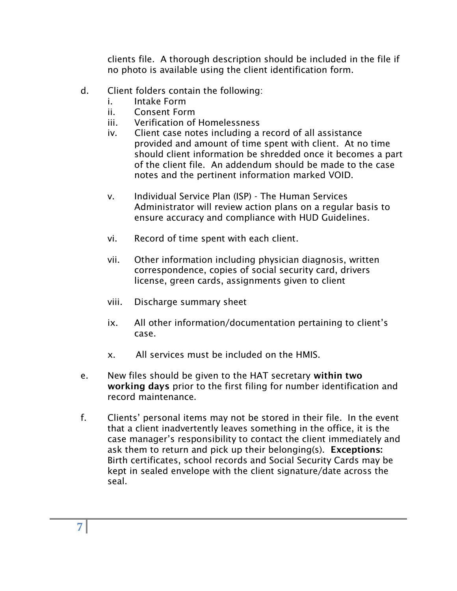clients file. A thorough description should be included in the file if no photo is available using the client identification form.

- d. Client folders contain the following:
	- i. Intake Form
	- ii. Consent Form
	- iii. Verification of Homelessness
	- iv. Client case notes including a record of all assistance provided and amount of time spent with client. At no time should client information be shredded once it becomes a part of the client file. An addendum should be made to the case notes and the pertinent information marked VOID.
	- v. Individual Service Plan (ISP) The Human Services Administrator will review action plans on a regular basis to ensure accuracy and compliance with HUD Guidelines.
	- vi. Record of time spent with each client.
	- vii. Other information including physician diagnosis, written correspondence, copies of social security card, drivers license, green cards, assignments given to client
	- viii. Discharge summary sheet
	- ix. All other information/documentation pertaining to client's case.
	- x. All services must be included on the HMIS.
- e. New files should be given to the HAT secretary **within two working days** prior to the first filing for number identification and record maintenance.
- f. Clients' personal items may not be stored in their file. In the event that a client inadvertently leaves something in the office, it is the case manager's responsibility to contact the client immediately and ask them to return and pick up their belonging(s). **Exceptions:** Birth certificates, school records and Social Security Cards may be kept in sealed envelope with the client signature/date across the seal.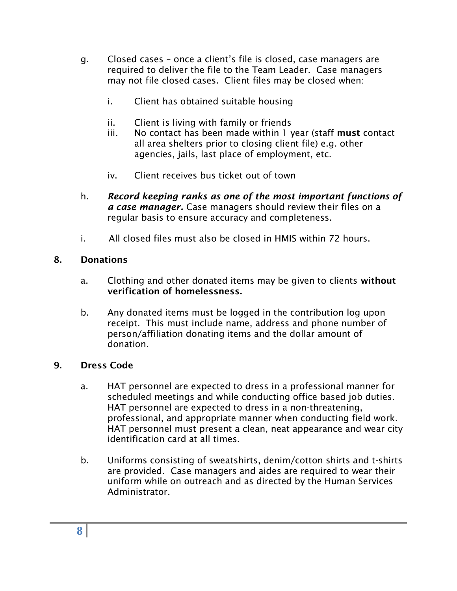- g. Closed cases once a client's file is closed, case managers are required to deliver the file to the Team Leader. Case managers may not file closed cases. Client files may be closed when:
	- i. Client has obtained suitable housing
	- ii. Client is living with family or friends
	- iii. No contact has been made within 1 year (staff **must** contact all area shelters prior to closing client file) e.g. other agencies, jails, last place of employment, etc.
	- iv. Client receives bus ticket out of town
- h. *Record keeping ranks as one of the most important functions of a case manager.* Case managers should review their files on a regular basis to ensure accuracy and completeness.
- i. All closed files must also be closed in HMIS within 72 hours.

# **8. Donations**

- a. Clothing and other donated items may be given to clients **without verification of homelessness.**
- b. Any donated items must be logged in the contribution log upon receipt. This must include name, address and phone number of person/affiliation donating items and the dollar amount of donation.

# **9. Dress Code**

- a. HAT personnel are expected to dress in a professional manner for scheduled meetings and while conducting office based job duties. HAT personnel are expected to dress in a non-threatening, professional, and appropriate manner when conducting field work. HAT personnel must present a clean, neat appearance and wear city identification card at all times.
- b. Uniforms consisting of sweatshirts, denim/cotton shirts and t-shirts are provided. Case managers and aides are required to wear their uniform while on outreach and as directed by the Human Services Administrator.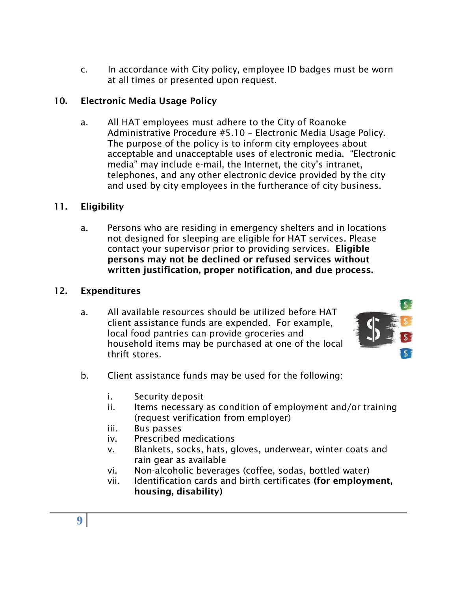c. In accordance with City policy, employee ID badges must be worn at all times or presented upon request.

# **10. Electronic Media Usage Policy**

a. All HAT employees must adhere to the City of Roanoke Administrative Procedure #5.10 – Electronic Media Usage Policy. The purpose of the policy is to inform city employees about acceptable and unacceptable uses of electronic media. "Electronic media" may include e-mail, the Internet, the city's intranet, telephones, and any other electronic device provided by the city and used by city employees in the furtherance of city business.

#### **11. Eligibility**

a. Persons who are residing in emergency shelters and in locations not designed for sleeping are eligible for HAT services. Please contact your supervisor prior to providing services. **Eligible persons may not be declined or refused services without written justification, proper notification, and due process.**

#### **12. Expenditures**

a. All available resources should be utilized before HAT client assistance funds are expended. For example, local food pantries can provide groceries and household items may be purchased at one of the local thrift stores.



- b. Client assistance funds may be used for the following:
	- i. Security deposit
	- ii. Items necessary as condition of employment and/or training (request verification from employer)
	- iii. Bus passes
	- iv. Prescribed medications
	- v. Blankets, socks, hats, gloves, underwear, winter coats and rain gear as available
	- vi. Non-alcoholic beverages (coffee, sodas, bottled water)
	- vii. Identification cards and birth certificates **(for employment, housing, disability)**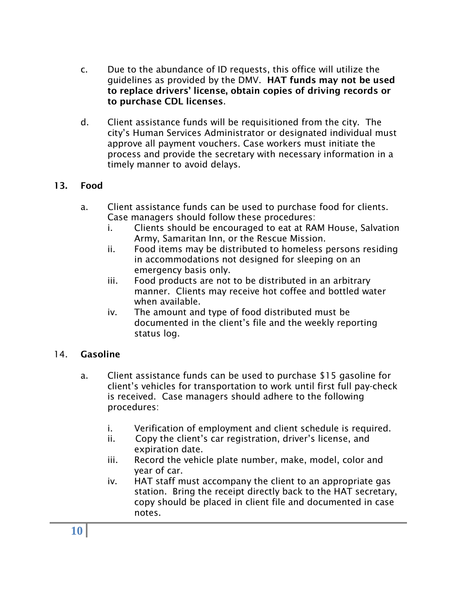- c. Due to the abundance of ID requests, this office will utilize the guidelines as provided by the DMV. **HAT funds may not be used to replace drivers' license, obtain copies of driving records or to purchase CDL licenses**.
- d. Client assistance funds will be requisitioned from the city. The city's Human Services Administrator or designated individual must approve all payment vouchers. Case workers must initiate the process and provide the secretary with necessary information in a timely manner to avoid delays.

# **13. Food**

- a. Client assistance funds can be used to purchase food for clients. Case managers should follow these procedures:
	- i. Clients should be encouraged to eat at RAM House, Salvation Army, Samaritan Inn, or the Rescue Mission.
	- ii. Food items may be distributed to homeless persons residing in accommodations not designed for sleeping on an emergency basis only.
	- iii. Food products are not to be distributed in an arbitrary manner. Clients may receive hot coffee and bottled water when available.
	- iv. The amount and type of food distributed must be documented in the client's file and the weekly reporting status log.

#### 14. **Gasoline**

- a. Client assistance funds can be used to purchase \$15 gasoline for client's vehicles for transportation to work until first full pay-check is received. Case managers should adhere to the following procedures:
	- i. Verification of employment and client schedule is required.
	- ii. Copy the client's car registration, driver's license, and expiration date.
	- iii. Record the vehicle plate number, make, model, color and year of car.
	- iv. HAT staff must accompany the client to an appropriate gas station. Bring the receipt directly back to the HAT secretary, copy should be placed in client file and documented in case notes.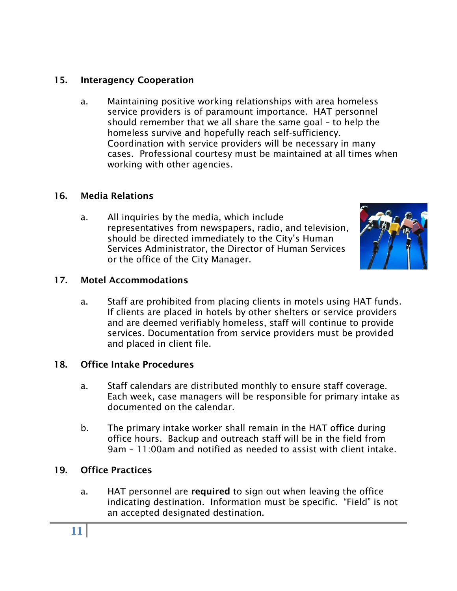# **15. Interagency Cooperation**

a. Maintaining positive working relationships with area homeless service providers is of paramount importance. HAT personnel should remember that we all share the same goal – to help the homeless survive and hopefully reach self-sufficiency. Coordination with service providers will be necessary in many cases. Professional courtesy must be maintained at all times when working with other agencies.

# **16. Media Relations**

a. All inquiries by the media, which include representatives from newspapers, radio, and television, should be directed immediately to the City's Human Services Administrator, the Director of Human Services or the office of the City Manager.



# **17. Motel Accommodations**

a. Staff are prohibited from placing clients in motels using HAT funds. If clients are placed in hotels by other shelters or service providers and are deemed verifiably homeless, staff will continue to provide services. Documentation from service providers must be provided and placed in client file.

# **18. Office Intake Procedures**

- a. Staff calendars are distributed monthly to ensure staff coverage. Each week, case managers will be responsible for primary intake as documented on the calendar.
- b. The primary intake worker shall remain in the HAT office during office hours. Backup and outreach staff will be in the field from 9am – 11:00am and notified as needed to assist with client intake.

# **19. Office Practices**

a. HAT personnel are **required** to sign out when leaving the office indicating destination. Information must be specific. "Field" is not an accepted designated destination.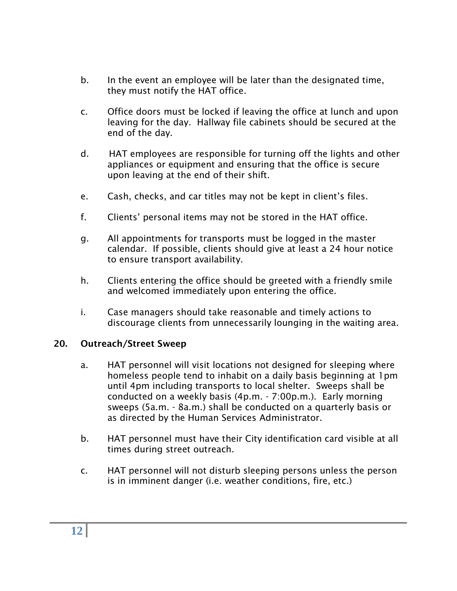- b. In the event an employee will be later than the designated time, they must notify the HAT office.
- c. Office doors must be locked if leaving the office at lunch and upon leaving for the day. Hallway file cabinets should be secured at the end of the day.
- d. HAT employees are responsible for turning off the lights and other appliances or equipment and ensuring that the office is secure upon leaving at the end of their shift.
- e. Cash, checks, and car titles may not be kept in client's files.
- f. Clients' personal items may not be stored in the HAT office.
- g. All appointments for transports must be logged in the master calendar. If possible, clients should give at least a 24 hour notice to ensure transport availability.
- h. Clients entering the office should be greeted with a friendly smile and welcomed immediately upon entering the office.
- i. Case managers should take reasonable and timely actions to discourage clients from unnecessarily lounging in the waiting area.

# **20. Outreach/Street Sweep**

- a. HAT personnel will visit locations not designed for sleeping where homeless people tend to inhabit on a daily basis beginning at 1pm until 4pm including transports to local shelter. Sweeps shall be conducted on a weekly basis (4p.m. - 7:00p.m.). Early morning sweeps (5a.m. - 8a.m.) shall be conducted on a quarterly basis or as directed by the Human Services Administrator.
- b. HAT personnel must have their City identification card visible at all times during street outreach.
- c. HAT personnel will not disturb sleeping persons unless the person is in imminent danger (i.e. weather conditions, fire, etc.)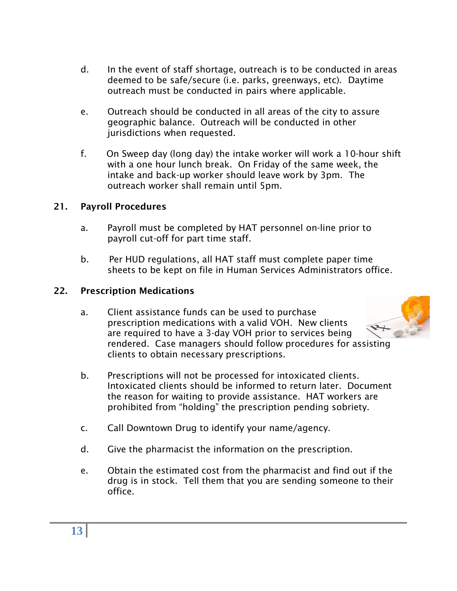- d. In the event of staff shortage, outreach is to be conducted in areas deemed to be safe/secure (i.e. parks, greenways, etc). Daytime outreach must be conducted in pairs where applicable.
- e. Outreach should be conducted in all areas of the city to assure geographic balance. Outreach will be conducted in other jurisdictions when requested.
- f. On Sweep day (long day) the intake worker will work a 10-hour shift with a one hour lunch break. On Friday of the same week, the intake and back-up worker should leave work by 3pm. The outreach worker shall remain until 5pm.

# **21. Payroll Procedures**

- a. Payroll must be completed by HAT personnel on-line prior to payroll cut-off for part time staff.
- b. Per HUD regulations, all HAT staff must complete paper time sheets to be kept on file in Human Services Administrators office.

# **22. Prescription Medications**

- a. Client assistance funds can be used to purchase prescription medications with a valid VOH. New clients are required to have a 3-day VOH prior to services being rendered. Case managers should follow procedures for assisting clients to obtain necessary prescriptions.
	-
- b. Prescriptions will not be processed for intoxicated clients. Intoxicated clients should be informed to return later. Document the reason for waiting to provide assistance. HAT workers are prohibited from "holding" the prescription pending sobriety.
- c. Call Downtown Drug to identify your name/agency.
- d. Give the pharmacist the information on the prescription.
- e. Obtain the estimated cost from the pharmacist and find out if the drug is in stock. Tell them that you are sending someone to their office.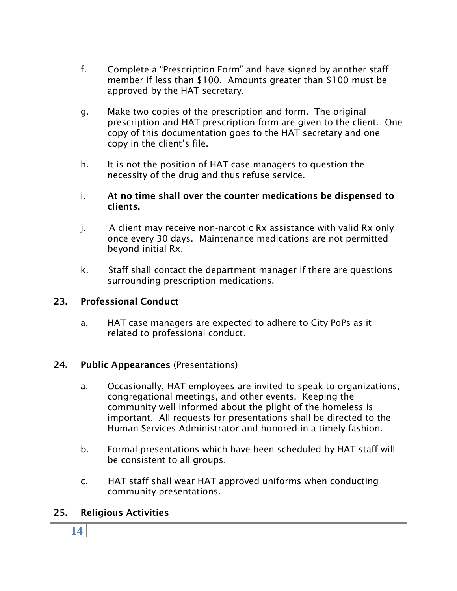- f. Complete a "Prescription Form" and have signed by another staff member if less than \$100. Amounts greater than \$100 must be approved by the HAT secretary.
- g. Make two copies of the prescription and form. The original prescription and HAT prescription form are given to the client. One copy of this documentation goes to the HAT secretary and one copy in the client's file.
- h. It is not the position of HAT case managers to question the necessity of the drug and thus refuse service.
- i. **At no time shall over the counter medications be dispensed to clients.**
- j.A client may receive non-narcotic Rx assistance with valid Rx only once every 30 days. Maintenance medications are not permitted beyond initial Rx.
- k. Staff shall contact the department manager if there are questions surrounding prescription medications.

# **23. Professional Conduct**

a. HAT case managers are expected to adhere to City PoPs as it related to professional conduct.

# **24. Public Appearances** (Presentations)

- a. Occasionally, HAT employees are invited to speak to organizations, congregational meetings, and other events. Keeping the community well informed about the plight of the homeless is important. All requests for presentations shall be directed to the Human Services Administrator and honored in a timely fashion.
- b. Formal presentations which have been scheduled by HAT staff will be consistent to all groups.
- c. HAT staff shall wear HAT approved uniforms when conducting community presentations.

# **25. Religious Activities**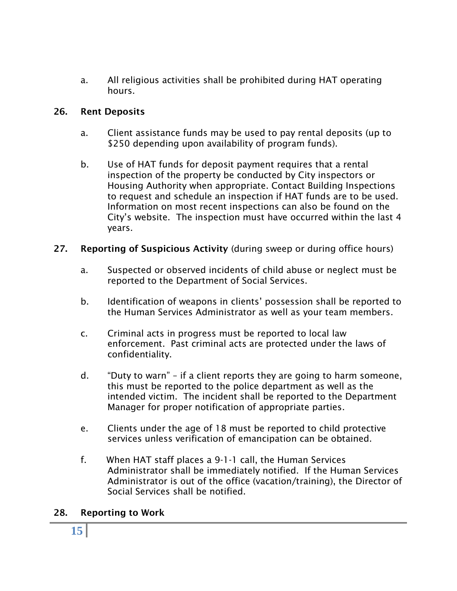a. All religious activities shall be prohibited during HAT operating hours.

#### **26. Rent Deposits**

- a. Client assistance funds may be used to pay rental deposits (up to \$250 depending upon availability of program funds).
- b. Use of HAT funds for deposit payment requires that a rental inspection of the property be conducted by City inspectors or Housing Authority when appropriate. Contact Building Inspections to request and schedule an inspection if HAT funds are to be used. Information on most recent inspections can also be found on the City's website. The inspection must have occurred within the last 4 years.
- **27. Reporting of Suspicious Activity** (during sweep or during office hours)
	- a. Suspected or observed incidents of child abuse or neglect must be reported to the Department of Social Services.
	- b. Identification of weapons in clients' possession shall be reported to the Human Services Administrator as well as your team members.
	- c. Criminal acts in progress must be reported to local law enforcement. Past criminal acts are protected under the laws of confidentiality.
	- d. "Duty to warn" if a client reports they are going to harm someone, this must be reported to the police department as well as the intended victim. The incident shall be reported to the Department Manager for proper notification of appropriate parties.
	- e. Clients under the age of 18 must be reported to child protective services unless verification of emancipation can be obtained.
	- f. When HAT staff places a 9-1-1 call, the Human Services Administrator shall be immediately notified. If the Human Services Administrator is out of the office (vacation/training), the Director of Social Services shall be notified.

# **28. Reporting to Work**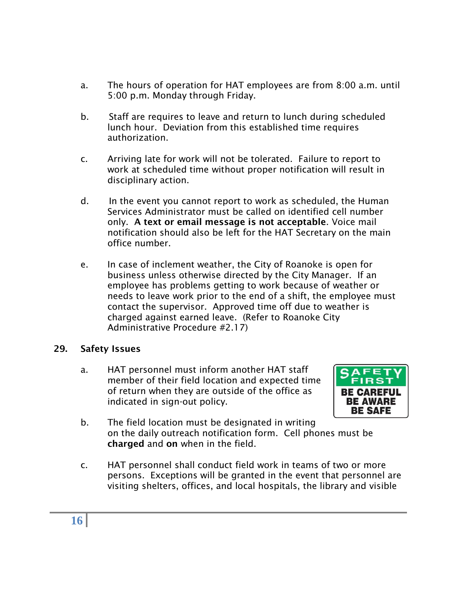- a. The hours of operation for HAT employees are from 8:00 a.m. until 5:00 p.m. Monday through Friday.
- b. Staff are requires to leave and return to lunch during scheduled lunch hour. Deviation from this established time requires authorization.
- c. Arriving late for work will not be tolerated. Failure to report to work at scheduled time without proper notification will result in disciplinary action.
- d. In the event you cannot report to work as scheduled, the Human Services Administrator must be called on identified cell number only. **A text or email message is not acceptable**. Voice mail notification should also be left for the HAT Secretary on the main office number.
- e. In case of inclement weather, the City of Roanoke is open for business unless otherwise directed by the City Manager. If an employee has problems getting to work because of weather or needs to leave work prior to the end of a shift, the employee must contact the supervisor. Approved time off due to weather is charged against earned leave. (Refer to Roanoke City Administrative Procedure #2.17)

# **29. Safety Issues**

a. HAT personnel must inform another HAT staff member of their field location and expected time of return when they are outside of the office as indicated in sign-out policy.



- b. The field location must be designated in writing on the daily outreach notification form. Cell phones must be **charged** and **on** when in the field.
- c. HAT personnel shall conduct field work in teams of two or more persons. Exceptions will be granted in the event that personnel are visiting shelters, offices, and local hospitals, the library and visible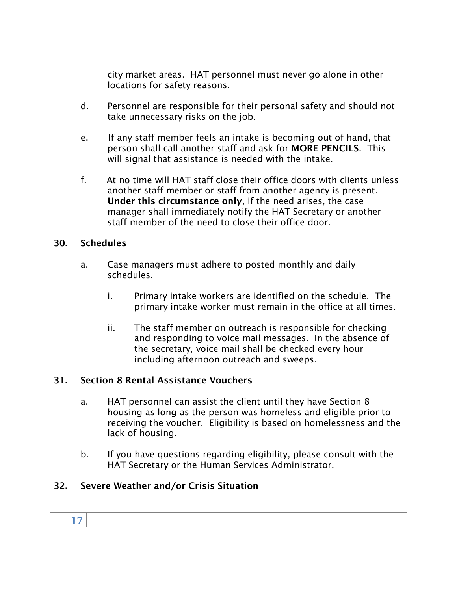city market areas. HAT personnel must never go alone in other locations for safety reasons.

- d. Personnel are responsible for their personal safety and should not take unnecessary risks on the job.
- e. If any staff member feels an intake is becoming out of hand, that person shall call another staff and ask for **MORE PENCILS**. This will signal that assistance is needed with the intake.
- f. At no time will HAT staff close their office doors with clients unless another staff member or staff from another agency is present. **Under this circumstance only**, if the need arises, the case manager shall immediately notify the HAT Secretary or another staff member of the need to close their office door.

#### **30. Schedules**

- a. Case managers must adhere to posted monthly and daily schedules.
	- i. Primary intake workers are identified on the schedule. The primary intake worker must remain in the office at all times.
	- ii. The staff member on outreach is responsible for checking and responding to voice mail messages. In the absence of the secretary, voice mail shall be checked every hour including afternoon outreach and sweeps.

# **31. Section 8 Rental Assistance Vouchers**

- a. HAT personnel can assist the client until they have Section 8 housing as long as the person was homeless and eligible prior to receiving the voucher. Eligibility is based on homelessness and the lack of housing.
- b. If you have questions regarding eligibility, please consult with the HAT Secretary or the Human Services Administrator.

# **32. Severe Weather and/or Crisis Situation**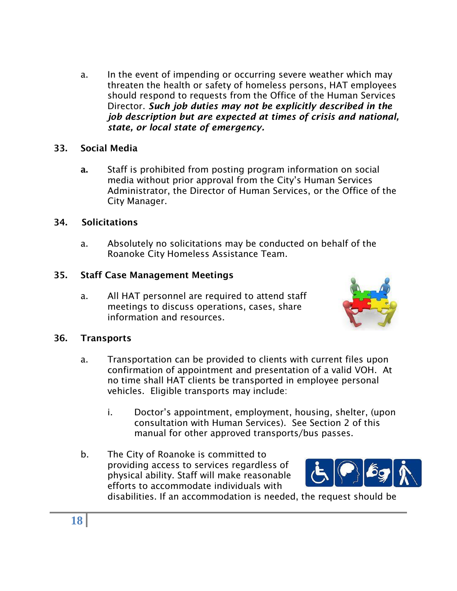a. In the event of impending or occurring severe weather which may threaten the health or safety of homeless persons, HAT employees should respond to requests from the Office of the Human Services Director. *Such job duties may not be explicitly described in the job description but are expected at times of crisis and national, state, or local state of emergency.*

#### **33. Social Media**

**a.** Staff is prohibited from posting program information on social media without prior approval from the City's Human Services Administrator, the Director of Human Services, or the Office of the City Manager.

#### **34. Solicitations**

a. Absolutely no solicitations may be conducted on behalf of the Roanoke City Homeless Assistance Team.

#### **35. Staff Case Management Meetings**

a. All HAT personnel are required to attend staff meetings to discuss operations, cases, share information and resources.



#### **36. Transports**

- a. Transportation can be provided to clients with current files upon confirmation of appointment and presentation of a valid VOH. At no time shall HAT clients be transported in employee personal vehicles. Eligible transports may include:
	- i. Doctor's appointment, employment, housing, shelter, (upon consultation with Human Services). See Section 2 of this manual for other approved transports/bus passes.
- b. The City of Roanoke is committed to providing access to services regardless of physical ability. Staff will make reasonable efforts to accommodate individuals with



disabilities. If an accommodation is needed, the request should be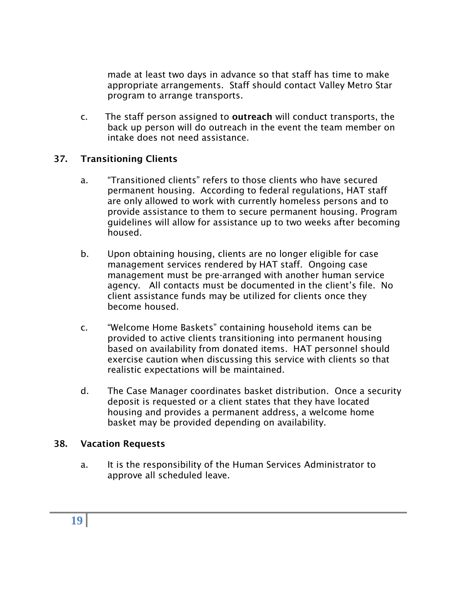made at least two days in advance so that staff has time to make appropriate arrangements. Staff should contact Valley Metro Star program to arrange transports.

c. The staff person assigned to **outreach** will conduct transports, the back up person will do outreach in the event the team member on intake does not need assistance.

#### **37. Transitioning Clients**

- a. "Transitioned clients" refers to those clients who have secured permanent housing. According to federal regulations, HAT staff are only allowed to work with currently homeless persons and to provide assistance to them to secure permanent housing. Program guidelines will allow for assistance up to two weeks after becoming housed.
- b. Upon obtaining housing, clients are no longer eligible for case management services rendered by HAT staff. Ongoing case management must be pre-arranged with another human service agency. All contacts must be documented in the client's file. No client assistance funds may be utilized for clients once they become housed.
- c. "Welcome Home Baskets" containing household items can be provided to active clients transitioning into permanent housing based on availability from donated items. HAT personnel should exercise caution when discussing this service with clients so that realistic expectations will be maintained.
- d. The Case Manager coordinates basket distribution. Once a security deposit is requested or a client states that they have located housing and provides a permanent address, a welcome home basket may be provided depending on availability.

#### **38. Vacation Requests**

a. It is the responsibility of the Human Services Administrator to approve all scheduled leave.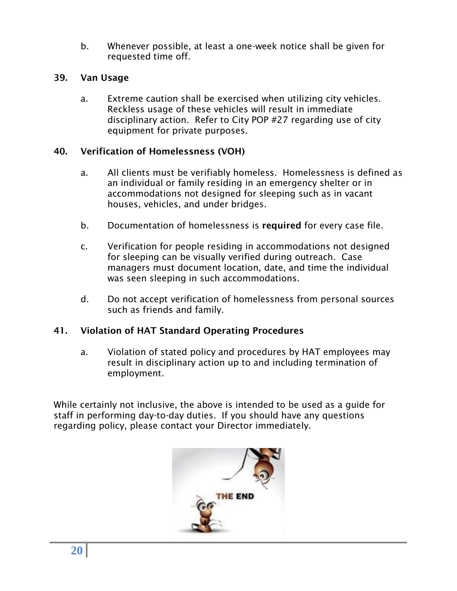b. Whenever possible, at least a one-week notice shall be given for requested time off.

#### **39. Van Usage**

a. Extreme caution shall be exercised when utilizing city vehicles. Reckless usage of these vehicles will result in immediate disciplinary action. Refer to City POP #27 regarding use of city equipment for private purposes.

# **40. Verification of Homelessness (VOH)**

- a. All clients must be verifiably homeless. Homelessness is defined as an individual or family residing in an emergency shelter or in accommodations not designed for sleeping such as in vacant houses, vehicles, and under bridges.
- b. Documentation of homelessness is **required** for every case file.
- c. Verification for people residing in accommodations not designed for sleeping can be visually verified during outreach. Case managers must document location, date, and time the individual was seen sleeping in such accommodations.
- d. Do not accept verification of homelessness from personal sources such as friends and family.

# **41. Violation of HAT Standard Operating Procedures**

a. Violation of stated policy and procedures by HAT employees may result in disciplinary action up to and including termination of employment.

While certainly not inclusive, the above is intended to be used as a guide for staff in performing day-to-day duties. If you should have any questions regarding policy, please contact your Director immediately.